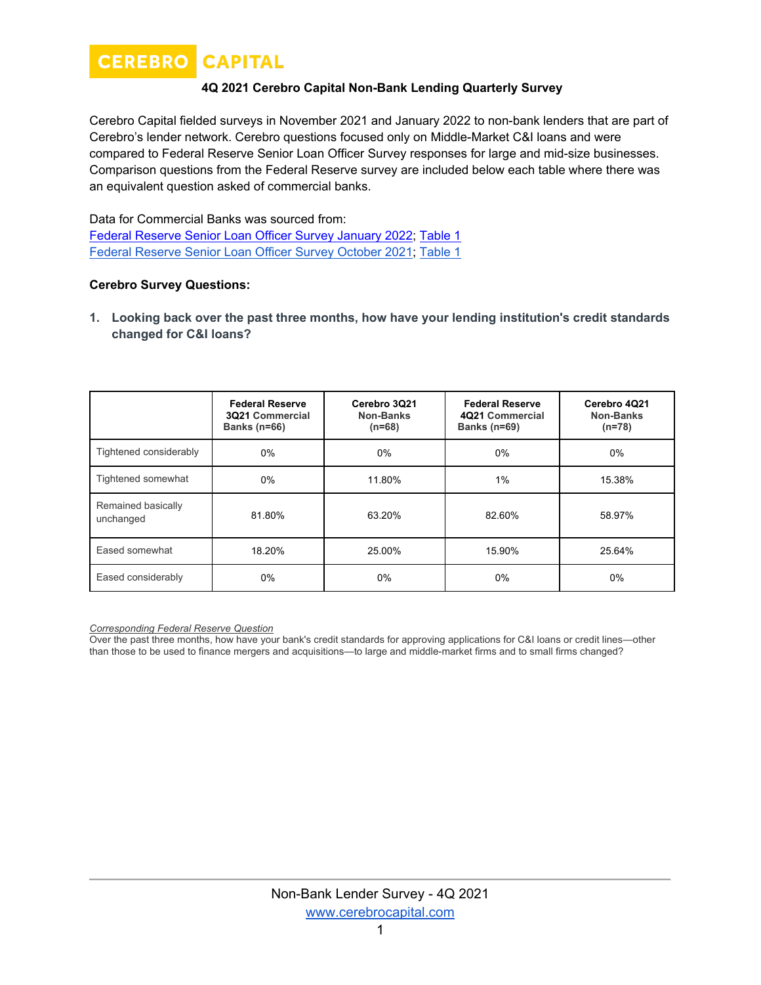#### **CEREBRO CAPITAL**

# **4Q 2021 Cerebro Capital Non-Bank Lending Quarterly Survey**

Cerebro Capital fielded surveys in November 2021 and January 2022 to non-bank lenders that are part of Cerebro's lender network. Cerebro questions focused only on Middle-Market C&I loans and were compared to Federal Reserve Senior Loan Officer Survey responses for large and mid-size businesses. Comparison questions from the Federal Reserve survey are included below each table where there was an equivalent question asked of commercial banks.

Data for Commercial Banks was sourced from: [Federal Reserve Senior Loan Officer Survey January 2022;](https://www.federalreserve.gov/data/sloos/sloos-202201.htm) [Table 1](https://www.federalreserve.gov/data/sloos/sloos-202201-table-1.htm) [Federal Reserve Senior Loan Officer Survey October 2021;](https://www.federalreserve.gov/data/sloos/sloos-202110.htm) [Table 1](https://www.federalreserve.gov/data/sloos/sloos-202110-table-1.htm)

# **Cerebro Survey Questions:**

**1. Looking back over the past three months, how have your lending institution's credit standards changed for C&I loans?**

|                                 | <b>Federal Reserve</b><br>3Q21 Commercial<br>Banks $(n=66)$ | Cerebro 3Q21<br>Non-Banks<br>$(n=68)$ | <b>Federal Reserve</b><br>4021 Commercial<br>Banks $(n=69)$ | Cerebro 4Q21<br>Non-Banks<br>$(n=78)$ |
|---------------------------------|-------------------------------------------------------------|---------------------------------------|-------------------------------------------------------------|---------------------------------------|
| Tightened considerably          | $0\%$                                                       | 0%                                    | 0%                                                          | 0%                                    |
| Tightened somewhat              | $0\%$                                                       | 11.80%                                | 1%                                                          | 15.38%                                |
| Remained basically<br>unchanged | 81.80%                                                      | 63.20%                                | 82.60%                                                      | 58.97%                                |
| Eased somewhat                  | 18.20%                                                      | 25.00%                                | 15.90%                                                      | 25.64%                                |
| Eased considerably              | $0\%$                                                       | $0\%$                                 | $0\%$                                                       | 0%                                    |

*Corresponding Federal Reserve Question*

Over the past three months, how have your bank's credit standards for approving applications for C&I loans or credit lines—other than those to be used to finance mergers and acquisitions—to large and middle-market firms and to small firms changed?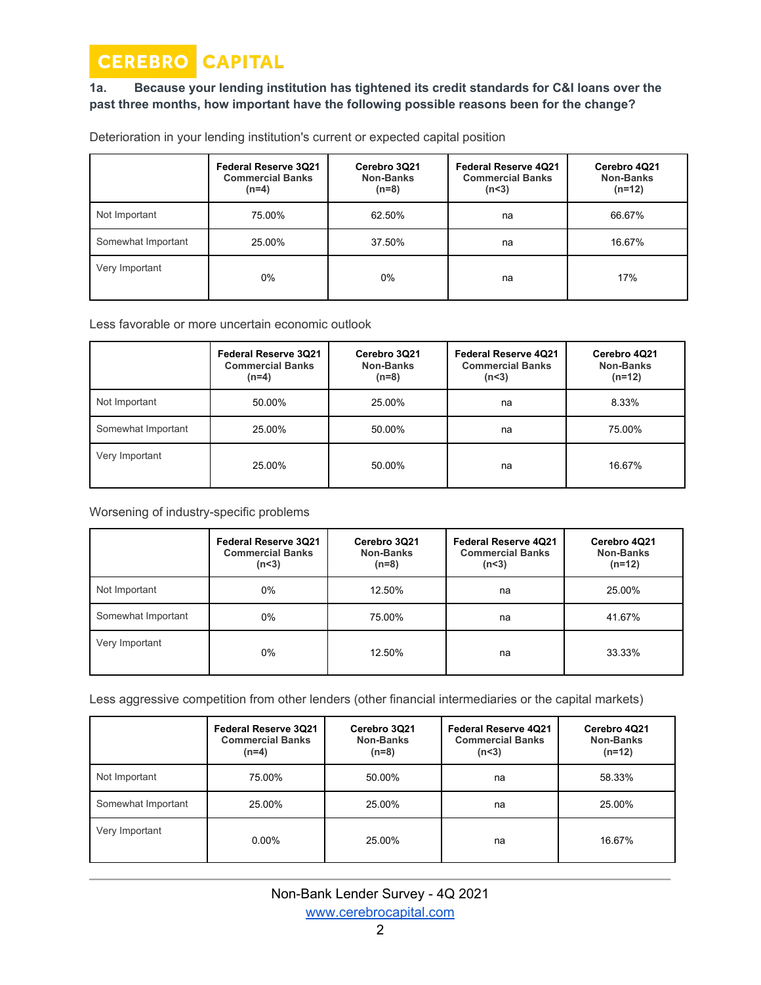# **1a. Because your lending institution has tightened its credit standards for C&I loans over the past three months, how important have the following possible reasons been for the change?**

Deterioration in your lending institution's current or expected capital position

|                    | <b>Federal Reserve 3Q21</b><br><b>Commercial Banks</b><br>$(n=4)$ | Cerebro 3Q21<br>Non-Banks<br>$(n=8)$ | <b>Federal Reserve 4021</b><br><b>Commercial Banks</b><br>(n<3) | Cerebro 4Q21<br>Non-Banks<br>$(n=12)$ |
|--------------------|-------------------------------------------------------------------|--------------------------------------|-----------------------------------------------------------------|---------------------------------------|
| Not Important      | 75.00%                                                            | 62.50%                               | na                                                              | 66.67%                                |
| Somewhat Important | 25.00%                                                            | 37.50%                               | na                                                              | 16.67%                                |
| Very Important     | 0%                                                                | 0%                                   | na                                                              | 17%                                   |

Less favorable or more uncertain economic outlook

|                    | <b>Federal Reserve 3Q21</b><br><b>Commercial Banks</b><br>$(n=4)$ | Cerebro 3Q21<br>Non-Banks<br>$(n=8)$ | <b>Federal Reserve 4Q21</b><br><b>Commercial Banks</b><br>(n<3) | Cerebro 4Q21<br><b>Non-Banks</b><br>$(n=12)$ |
|--------------------|-------------------------------------------------------------------|--------------------------------------|-----------------------------------------------------------------|----------------------------------------------|
| Not Important      | 50.00%                                                            | 25.00%                               | na                                                              | 8.33%                                        |
| Somewhat Important | 25.00%                                                            | 50.00%                               | na                                                              | 75.00%                                       |
| Very Important     | 25.00%                                                            | 50.00%                               | na                                                              | 16.67%                                       |

Worsening of industry-specific problems

|                    | <b>Federal Reserve 3Q21</b><br><b>Commercial Banks</b><br>(n<3) | Cerebro 3Q21<br>Non-Banks<br>$(n=8)$ | <b>Federal Reserve 4Q21</b><br><b>Commercial Banks</b><br>(n<3) | Cerebro 4Q21<br>Non-Banks<br>$(n=12)$ |
|--------------------|-----------------------------------------------------------------|--------------------------------------|-----------------------------------------------------------------|---------------------------------------|
| Not Important      | $0\%$                                                           | 12.50%                               | na                                                              | 25.00%                                |
| Somewhat Important | $0\%$                                                           | 75.00%                               | na                                                              | 41.67%                                |
| Very Important     | 0%                                                              | 12.50%                               | na                                                              | 33.33%                                |

Less aggressive competition from other lenders (other financial intermediaries or the capital markets)

|                    | <b>Federal Reserve 3Q21</b><br><b>Commercial Banks</b><br>$(n=4)$ | Cerebro 3Q21<br>Non-Banks<br>$(n=8)$ | <b>Federal Reserve 4Q21</b><br><b>Commercial Banks</b><br>(n<3) | Cerebro 4Q21<br><b>Non-Banks</b><br>$(n=12)$ |
|--------------------|-------------------------------------------------------------------|--------------------------------------|-----------------------------------------------------------------|----------------------------------------------|
| Not Important      | 75.00%                                                            | 50.00%                               | na                                                              | 58.33%                                       |
| Somewhat Important | 25.00%                                                            | 25.00%                               | na                                                              | 25.00%                                       |
| Very Important     | $0.00\%$                                                          | 25.00%                               | na                                                              | 16.67%                                       |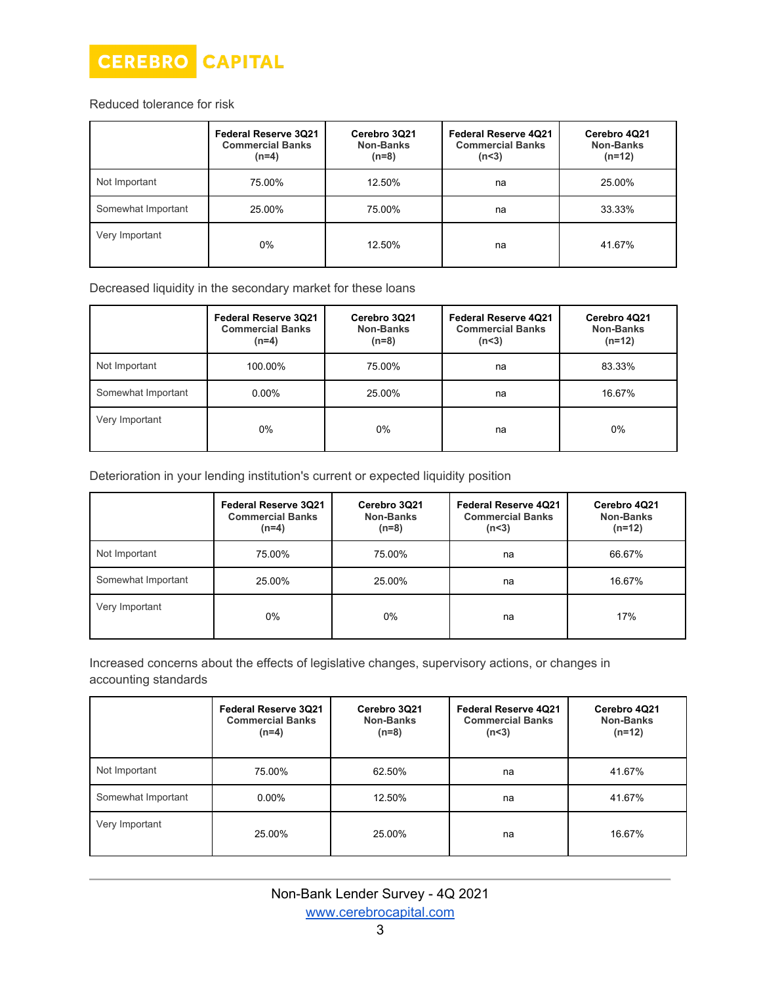

Reduced tolerance for risk

|                    | <b>Federal Reserve 3021</b><br><b>Commercial Banks</b><br>$(n=4)$ | Cerebro 3Q21<br>Non-Banks<br>$(n=8)$ | <b>Federal Reserve 4021</b><br><b>Commercial Banks</b><br>(n<3) | Cerebro 4Q21<br>Non-Banks<br>$(n=12)$ |
|--------------------|-------------------------------------------------------------------|--------------------------------------|-----------------------------------------------------------------|---------------------------------------|
| Not Important      | 75.00%                                                            | 12.50%                               | na                                                              | 25.00%                                |
| Somewhat Important | 25.00%                                                            | 75.00%                               | na                                                              | 33.33%                                |
| Very Important     | 0%                                                                | 12.50%                               | na                                                              | 41.67%                                |

Decreased liquidity in the secondary market for these loans

|                    | <b>Federal Reserve 3Q21</b><br><b>Commercial Banks</b><br>$(n=4)$ | Cerebro 3Q21<br>Non-Banks<br>$(n=8)$ | <b>Federal Reserve 4Q21</b><br><b>Commercial Banks</b><br>(n<3) | Cerebro 4Q21<br><b>Non-Banks</b><br>$(n=12)$ |
|--------------------|-------------------------------------------------------------------|--------------------------------------|-----------------------------------------------------------------|----------------------------------------------|
| Not Important      | 100.00%                                                           | 75.00%                               | na                                                              | 83.33%                                       |
| Somewhat Important | $0.00\%$                                                          | 25.00%                               | na                                                              | 16.67%                                       |
| Very Important     | $0\%$                                                             | 0%                                   | na                                                              | $0\%$                                        |

Deterioration in your lending institution's current or expected liquidity position

|                    | <b>Federal Reserve 3Q21</b><br><b>Commercial Banks</b><br>$(n=4)$ | Cerebro 3Q21<br>Non-Banks<br>$(n=8)$ | Federal Reserve 4Q21<br><b>Commercial Banks</b><br>(n<3) | Cerebro 4Q21<br>Non-Banks<br>$(n=12)$ |
|--------------------|-------------------------------------------------------------------|--------------------------------------|----------------------------------------------------------|---------------------------------------|
| Not Important      | 75.00%                                                            | 75.00%                               | na                                                       | 66.67%                                |
| Somewhat Important | 25.00%                                                            | 25.00%                               | na                                                       | 16.67%                                |
| Very Important     | $0\%$                                                             | 0%                                   | na                                                       | 17%                                   |

Increased concerns about the effects of legislative changes, supervisory actions, or changes in accounting standards

|                    | Federal Reserve 3Q21<br><b>Commercial Banks</b><br>$(n=4)$ | Cerebro 3Q21<br>Non-Banks<br>$(n=8)$ | <b>Federal Reserve 4Q21</b><br><b>Commercial Banks</b><br>(n<3) | Cerebro 4Q21<br>Non-Banks<br>$(n=12)$ |
|--------------------|------------------------------------------------------------|--------------------------------------|-----------------------------------------------------------------|---------------------------------------|
| Not Important      | 75.00%                                                     | 62.50%                               | na                                                              | 41.67%                                |
| Somewhat Important | $0.00\%$                                                   | 12.50%                               | na                                                              | 41.67%                                |
| Very Important     | 25.00%                                                     | 25.00%                               | na                                                              | 16.67%                                |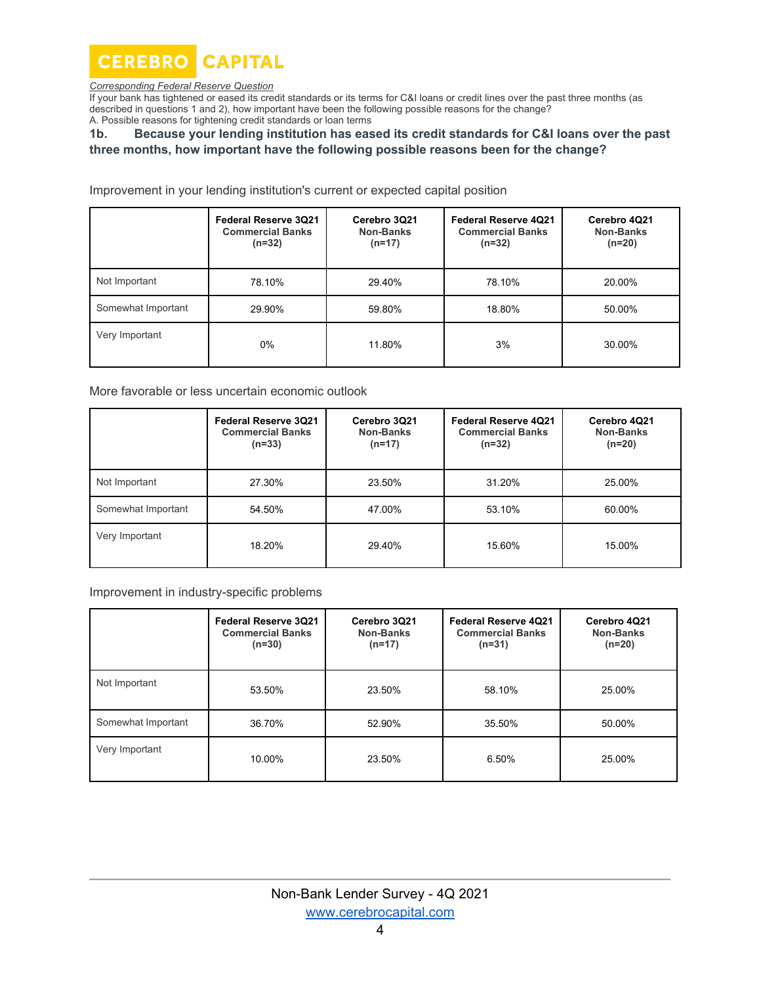**CEREBRO CAPITAL** 

#### *Corresponding Federal Reserve Question*

If your bank has tightened or eased its credit standards or its terms for C&I loans or credit lines over the past three months (as described in questions 1 and 2), how important have been the following possible reasons for the change? A. Possible reasons for tightening credit standards or loan terms

# **1b. Because your lending institution has eased its credit standards for C&I loans over the past three months, how important have the following possible reasons been for the change?**

Improvement in your lending institution's current or expected capital position

|                    | <b>Federal Reserve 3Q21</b><br><b>Commercial Banks</b><br>$(n=32)$ | Cerebro 3Q21<br>Non-Banks<br>$(n=17)$ | <b>Federal Reserve 4Q21</b><br><b>Commercial Banks</b><br>$(n=32)$ | Cerebro 4Q21<br>Non-Banks<br>$(n=20)$ |
|--------------------|--------------------------------------------------------------------|---------------------------------------|--------------------------------------------------------------------|---------------------------------------|
| Not Important      | 78.10%                                                             | 29.40%                                | 78.10%                                                             | 20.00%                                |
| Somewhat Important | 29.90%                                                             | 59.80%                                | 18.80%                                                             | 50.00%                                |
| Very Important     | 0%                                                                 | 11.80%                                | 3%                                                                 | 30.00%                                |

#### More favorable or less uncertain economic outlook

|                    | <b>Federal Reserve 3Q21</b><br><b>Commercial Banks</b><br>$(n=33)$ | Cerebro 3Q21<br>Non-Banks<br>$(n=17)$ | <b>Federal Reserve 4Q21</b><br><b>Commercial Banks</b><br>$(n=32)$ | Cerebro 4Q21<br>Non-Banks<br>$(n=20)$ |
|--------------------|--------------------------------------------------------------------|---------------------------------------|--------------------------------------------------------------------|---------------------------------------|
| Not Important      | 27.30%                                                             | 23.50%                                | 31.20%                                                             | 25.00%                                |
| Somewhat Important | 54.50%                                                             | 47.00%                                | 53.10%                                                             | 60.00%                                |
| Very Important     | 18.20%                                                             | 29.40%                                | 15.60%                                                             | 15.00%                                |

Improvement in industry-specific problems

|                    | <b>Federal Reserve 3021</b><br><b>Commercial Banks</b><br>$(n=30)$ | Cerebro 3Q21<br>Non-Banks<br>$(n=17)$ | <b>Federal Reserve 4Q21</b><br><b>Commercial Banks</b><br>$(n=31)$ | Cerebro 4Q21<br>Non-Banks<br>$(n=20)$ |
|--------------------|--------------------------------------------------------------------|---------------------------------------|--------------------------------------------------------------------|---------------------------------------|
| Not Important      | 53.50%                                                             | 23.50%                                | 58.10%                                                             | 25.00%                                |
| Somewhat Important | 36.70%                                                             | 52.90%                                | 35.50%                                                             | 50.00%                                |
| Very Important     | 10.00%                                                             | 23.50%                                | 6.50%                                                              | 25.00%                                |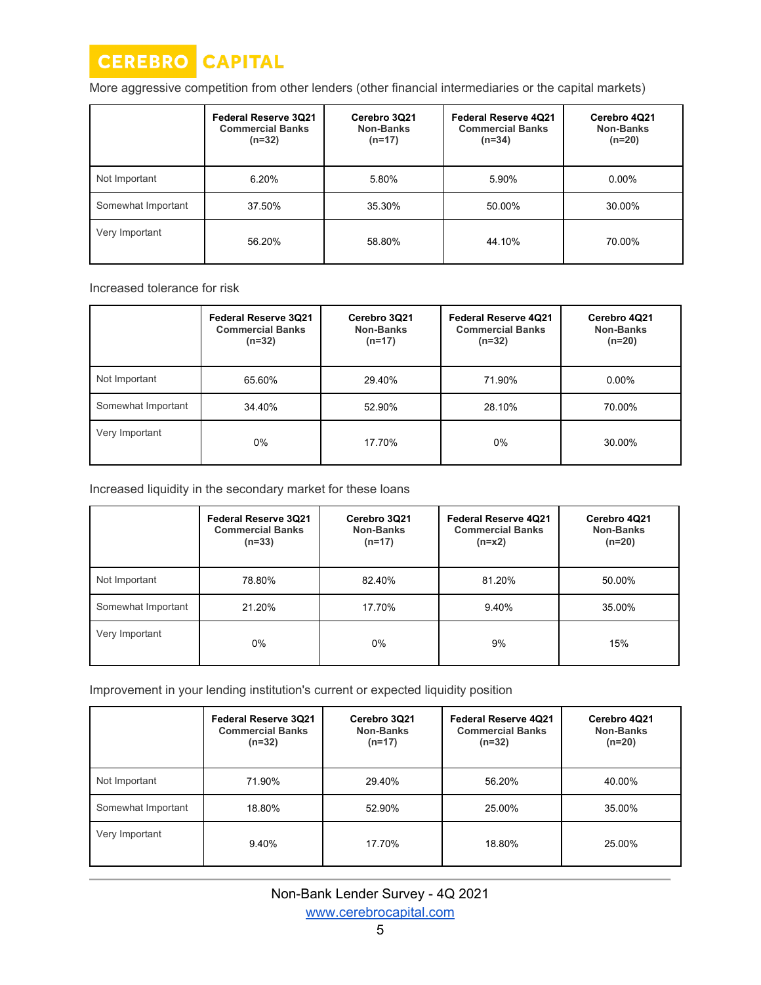

More aggressive competition from other lenders (other financial intermediaries or the capital markets)

|                    | <b>Federal Reserve 3Q21</b><br><b>Commercial Banks</b><br>$(n=32)$ | Cerebro 3Q21<br>Non-Banks<br>$(n=17)$ | Federal Reserve 4Q21<br><b>Commercial Banks</b><br>$(n=34)$ | Cerebro 4Q21<br>Non-Banks<br>$(n=20)$ |
|--------------------|--------------------------------------------------------------------|---------------------------------------|-------------------------------------------------------------|---------------------------------------|
| Not Important      | 6.20%                                                              | 5.80%                                 | 5.90%                                                       | $0.00\%$                              |
| Somewhat Important | 37.50%                                                             | 35.30%                                | 50.00%                                                      | 30.00%                                |
| Very Important     | 56.20%                                                             | 58.80%                                | 44.10%                                                      | 70.00%                                |

Increased tolerance for risk

|                    | <b>Federal Reserve 3Q21</b><br><b>Commercial Banks</b><br>$(n=32)$ | Cerebro 3Q21<br>Non-Banks<br>$(n=17)$ | <b>Federal Reserve 4Q21</b><br><b>Commercial Banks</b><br>$(n=32)$ | Cerebro 4Q21<br>Non-Banks<br>$(n=20)$ |
|--------------------|--------------------------------------------------------------------|---------------------------------------|--------------------------------------------------------------------|---------------------------------------|
| Not Important      | 65.60%                                                             | 29.40%                                | 71.90%                                                             | $0.00\%$                              |
| Somewhat Important | 34.40%                                                             | 52.90%                                | 28.10%                                                             | 70.00%                                |
| Very Important     | 0%                                                                 | 17.70%                                | 0%                                                                 | 30.00%                                |

Increased liquidity in the secondary market for these loans

|                    | <b>Federal Reserve 3021</b><br><b>Commercial Banks</b><br>$(n=33)$ | Cerebro 3Q21<br>Non-Banks<br>$(n=17)$ | Federal Reserve 4021<br><b>Commercial Banks</b><br>$(n=x2)$ | Cerebro 4Q21<br>Non-Banks<br>$(n=20)$ |
|--------------------|--------------------------------------------------------------------|---------------------------------------|-------------------------------------------------------------|---------------------------------------|
| Not Important      | 78.80%                                                             | 82.40%                                | 81.20%                                                      | 50.00%                                |
| Somewhat Important | 21.20%                                                             | 17.70%                                | 9.40%                                                       | 35.00%                                |
| Very Important     | 0%                                                                 | $0\%$                                 | 9%                                                          | 15%                                   |

Improvement in your lending institution's current or expected liquidity position

|                    | <b>Federal Reserve 3Q21</b><br><b>Commercial Banks</b><br>$(n=32)$ | Cerebro 3Q21<br>Non-Banks<br>$(n=17)$ | <b>Federal Reserve 4Q21</b><br><b>Commercial Banks</b><br>$(n=32)$ | Cerebro 4Q21<br>Non-Banks<br>$(n=20)$ |
|--------------------|--------------------------------------------------------------------|---------------------------------------|--------------------------------------------------------------------|---------------------------------------|
| Not Important      | 71.90%                                                             | 29.40%                                | 56.20%                                                             | 40.00%                                |
| Somewhat Important | 18.80%                                                             | 52.90%                                | 25.00%                                                             | 35.00%                                |
| Very Important     | 9.40%                                                              | 17.70%                                | 18.80%                                                             | 25.00%                                |

Non-Bank Lender Survey - 4Q 2021 [www.cerebrocapital.com](http://www.cerebrocapital.com/)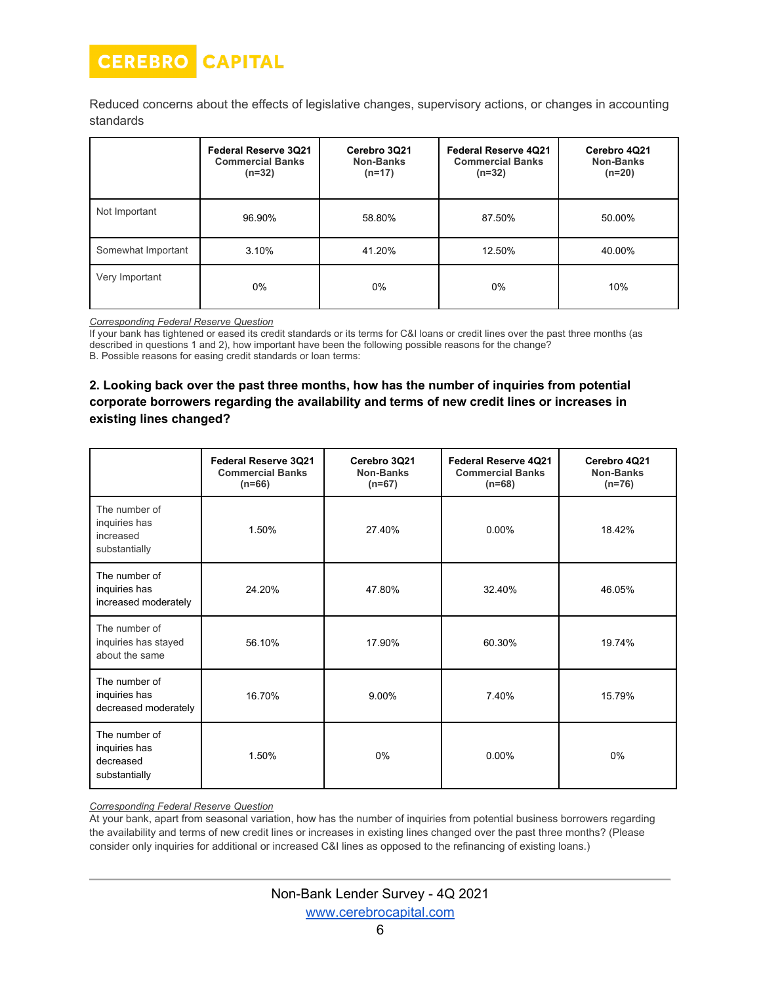

Reduced concerns about the effects of legislative changes, supervisory actions, or changes in accounting standards

|                    | <b>Federal Reserve 3Q21</b><br><b>Commercial Banks</b><br>$(n=32)$ | Cerebro 3Q21<br>Non-Banks<br>$(n=17)$ | <b>Federal Reserve 4Q21</b><br><b>Commercial Banks</b><br>$(n=32)$ | Cerebro 4Q21<br>Non-Banks<br>$(n=20)$ |
|--------------------|--------------------------------------------------------------------|---------------------------------------|--------------------------------------------------------------------|---------------------------------------|
| Not Important      | 96.90%                                                             | 58.80%                                | 87.50%                                                             | 50.00%                                |
| Somewhat Important | 3.10%                                                              | 41.20%                                | 12.50%                                                             | 40.00%                                |
| Very Important     | $0\%$                                                              | 0%                                    | $0\%$                                                              | 10%                                   |

*Corresponding Federal Reserve Question*

If your bank has tightened or eased its credit standards or its terms for C&I loans or credit lines over the past three months (as described in questions 1 and 2), how important have been the following possible reasons for the change? B. Possible reasons for easing credit standards or loan terms:

# **2. Looking back over the past three months, how has the number of inquiries from potential corporate borrowers regarding the availability and terms of new credit lines or increases in existing lines changed?**

|                                                              | <b>Federal Reserve 3Q21</b><br><b>Commercial Banks</b><br>$(n=66)$ | Cerebro 3Q21<br>Non-Banks<br>$(n=67)$ | <b>Federal Reserve 4Q21</b><br><b>Commercial Banks</b><br>$(n=68)$ | Cerebro 4Q21<br>Non-Banks<br>$(n=76)$ |
|--------------------------------------------------------------|--------------------------------------------------------------------|---------------------------------------|--------------------------------------------------------------------|---------------------------------------|
| The number of<br>inquiries has<br>increased<br>substantially | 1.50%                                                              | 27.40%                                | $0.00\%$                                                           | 18.42%                                |
| The number of<br>inquiries has<br>increased moderately       | 24.20%                                                             | 47.80%                                | 32.40%                                                             | 46.05%                                |
| The number of<br>inquiries has stayed<br>about the same      | 56.10%                                                             | 17.90%                                | 60.30%                                                             | 19.74%                                |
| The number of<br>inquiries has<br>decreased moderately       | 16.70%                                                             | $9.00\%$                              | 7.40%                                                              | 15.79%                                |
| The number of<br>inquiries has<br>decreased<br>substantially | 1.50%                                                              | 0%                                    | $0.00\%$                                                           | $0\%$                                 |

*Corresponding Federal Reserve Question*

At your bank, apart from seasonal variation, how has the number of inquiries from potential business borrowers regarding the availability and terms of new credit lines or increases in existing lines changed over the past three months? (Please consider only inquiries for additional or increased C&I lines as opposed to the refinancing of existing loans.)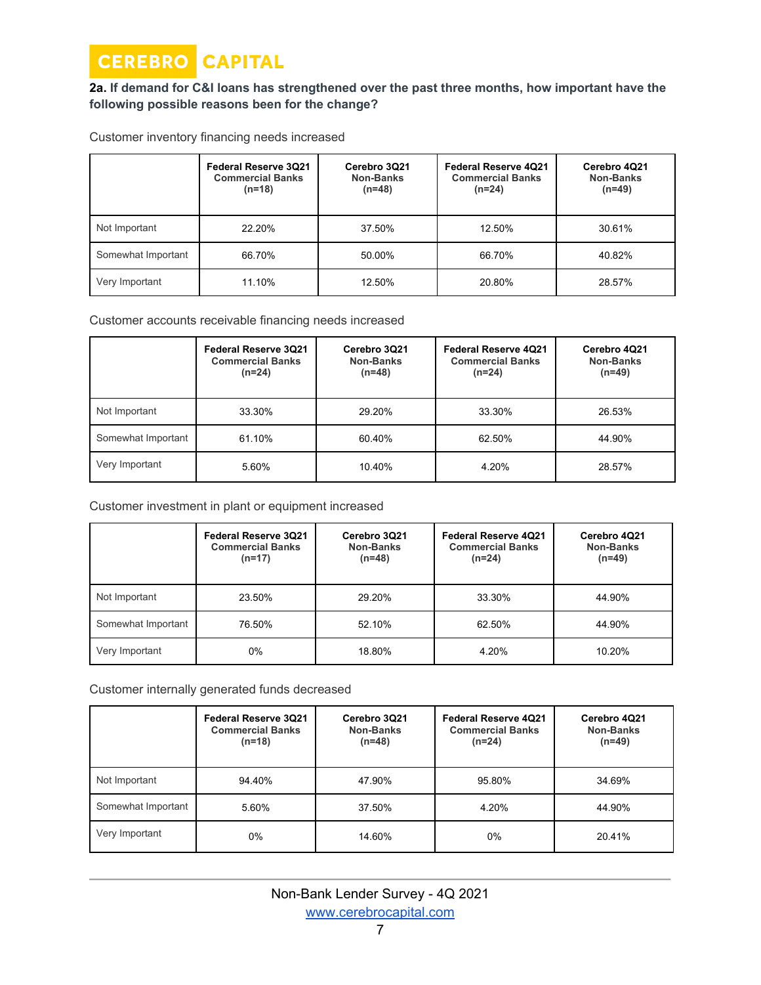# **2a. If demand for C&I loans has strengthened over the past three months, how important have the following possible reasons been for the change?**

Customer inventory financing needs increased

|                    | Federal Reserve 3021<br><b>Commercial Banks</b><br>$(n=18)$ | Cerebro 3Q21<br>Non-Banks<br>$(n=48)$ | <b>Federal Reserve 4021</b><br><b>Commercial Banks</b><br>$(n=24)$ | Cerebro 4Q21<br>Non-Banks<br>$(n=49)$ |
|--------------------|-------------------------------------------------------------|---------------------------------------|--------------------------------------------------------------------|---------------------------------------|
| Not Important      | 22.20%                                                      | 37.50%                                | 12.50%                                                             | 30.61%                                |
| Somewhat Important | 66.70%                                                      | 50.00%                                | 66.70%                                                             | 40.82%                                |
| Very Important     | 11.10%                                                      | 12.50%                                | 20.80%                                                             | 28.57%                                |

## Customer accounts receivable financing needs increased

|                    | <b>Federal Reserve 3Q21</b><br><b>Commercial Banks</b><br>$(n=24)$ | Cerebro 3Q21<br>Non-Banks<br>$(n=48)$ | <b>Federal Reserve 4Q21</b><br><b>Commercial Banks</b><br>$(n=24)$ | Cerebro 4Q21<br>Non-Banks<br>$(n=49)$ |
|--------------------|--------------------------------------------------------------------|---------------------------------------|--------------------------------------------------------------------|---------------------------------------|
| Not Important      | 33.30%                                                             | 29.20%                                | 33.30%                                                             | 26.53%                                |
| Somewhat Important | 61.10%                                                             | 60.40%                                | 62.50%                                                             | 44.90%                                |
| Very Important     | 5.60%                                                              | 10.40%                                | 4.20%                                                              | 28.57%                                |

## Customer investment in plant or equipment increased

|                    | Federal Reserve 3Q21<br><b>Commercial Banks</b><br>$(n=17)$ | Cerebro 3Q21<br>Non-Banks<br>$(n=48)$ | <b>Federal Reserve 4021</b><br><b>Commercial Banks</b><br>$(n=24)$ | Cerebro 4Q21<br>Non-Banks<br>$(n=49)$ |
|--------------------|-------------------------------------------------------------|---------------------------------------|--------------------------------------------------------------------|---------------------------------------|
| Not Important      | 23.50%                                                      | 29.20%                                | 33.30%                                                             | 44.90%                                |
| Somewhat Important | 76.50%                                                      | 52.10%                                | 62.50%                                                             | 44.90%                                |
| Very Important     | 0%                                                          | 18.80%                                | 4.20%                                                              | 10.20%                                |

Customer internally generated funds decreased

|                    | <b>Federal Reserve 3Q21</b><br><b>Commercial Banks</b><br>$(n=18)$ | Cerebro 3Q21<br>Non-Banks<br>$(n=48)$ | <b>Federal Reserve 4Q21</b><br><b>Commercial Banks</b><br>$(n=24)$ | Cerebro 4Q21<br>Non-Banks<br>$(n=49)$ |
|--------------------|--------------------------------------------------------------------|---------------------------------------|--------------------------------------------------------------------|---------------------------------------|
| Not Important      | 94.40%                                                             | 47.90%                                | 95.80%                                                             | 34.69%                                |
| Somewhat Important | 5.60%                                                              | 37.50%                                | 4.20%                                                              | 44.90%                                |
| Very Important     | 0%                                                                 | 14.60%                                | 0%                                                                 | 20.41%                                |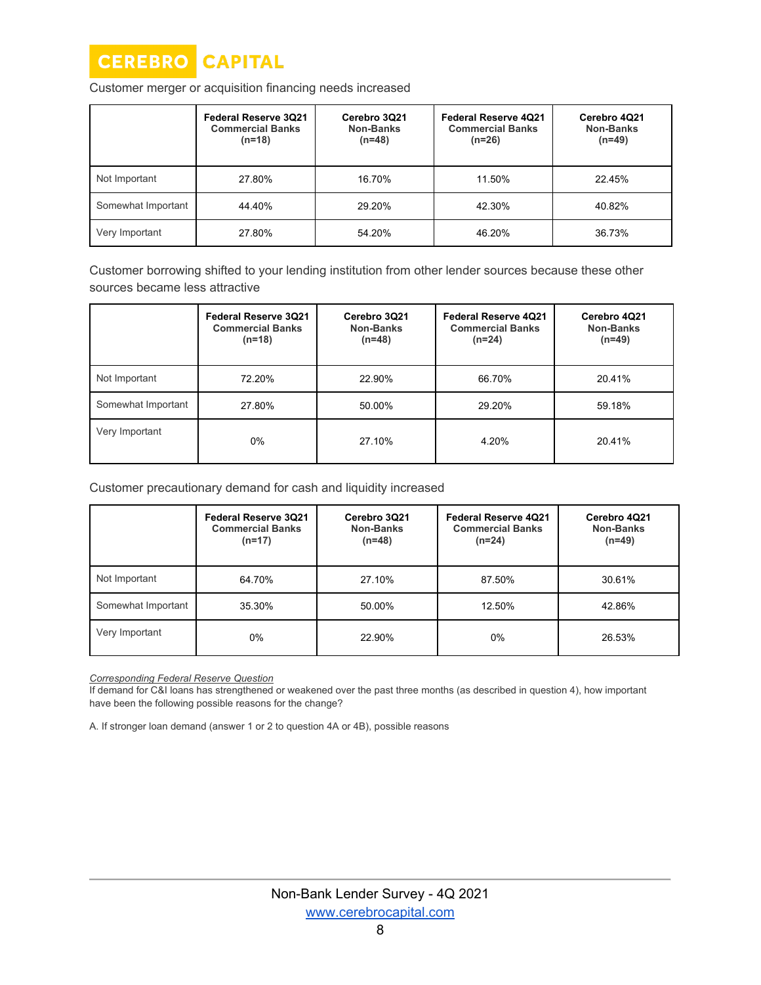

Customer merger or acquisition financing needs increased

|                    | <b>Federal Reserve 3Q21</b><br><b>Commercial Banks</b><br>$(n=18)$ | Cerebro 3Q21<br>Non-Banks<br>$(n=48)$ | <b>Federal Reserve 4Q21</b><br><b>Commercial Banks</b><br>$(n=26)$ | Cerebro 4Q21<br>Non-Banks<br>$(n=49)$ |
|--------------------|--------------------------------------------------------------------|---------------------------------------|--------------------------------------------------------------------|---------------------------------------|
| Not Important      | 27.80%                                                             | 16.70%                                | 11.50%                                                             | 22.45%                                |
| Somewhat Important | 44.40%                                                             | 29.20%                                | 42.30%                                                             | 40.82%                                |
| Very Important     | 27.80%                                                             | 54.20%                                | 46.20%                                                             | 36.73%                                |

Customer borrowing shifted to your lending institution from other lender sources because these other sources became less attractive

|                    | <b>Federal Reserve 3Q21</b><br><b>Commercial Banks</b><br>$(n=18)$ | Cerebro 3Q21<br>Non-Banks<br>$(n=48)$ | <b>Federal Reserve 4021</b><br><b>Commercial Banks</b><br>$(n=24)$ | Cerebro 4Q21<br>Non-Banks<br>$(n=49)$ |
|--------------------|--------------------------------------------------------------------|---------------------------------------|--------------------------------------------------------------------|---------------------------------------|
| Not Important      | 72.20%                                                             | 22.90%                                | 66.70%                                                             | 20.41%                                |
| Somewhat Important | 27.80%                                                             | 50.00%                                | 29.20%                                                             | 59.18%                                |
| Very Important     | $0\%$                                                              | 27.10%                                | 4.20%                                                              | 20.41%                                |

Customer precautionary demand for cash and liquidity increased

|                    | <b>Federal Reserve 3Q21</b><br><b>Commercial Banks</b><br>$(n=17)$ | Cerebro 3Q21<br>Non-Banks<br>$(n=48)$ | <b>Federal Reserve 4Q21</b><br><b>Commercial Banks</b><br>$(n=24)$ | Cerebro 4Q21<br>Non-Banks<br>$(n=49)$ |
|--------------------|--------------------------------------------------------------------|---------------------------------------|--------------------------------------------------------------------|---------------------------------------|
| Not Important      | 64.70%                                                             | 27.10%                                | 87.50%                                                             | 30.61%                                |
| Somewhat Important | 35.30%                                                             | 50.00%                                | 12.50%                                                             | 42.86%                                |
| Very Important     | 0%                                                                 | 22.90%                                | 0%                                                                 | 26.53%                                |

*Corresponding Federal Reserve Question*

If demand for C&I loans has strengthened or weakened over the past three months (as described in question 4), how important have been the following possible reasons for the change?

A. If stronger loan demand (answer 1 or 2 to question 4A or 4B), possible reasons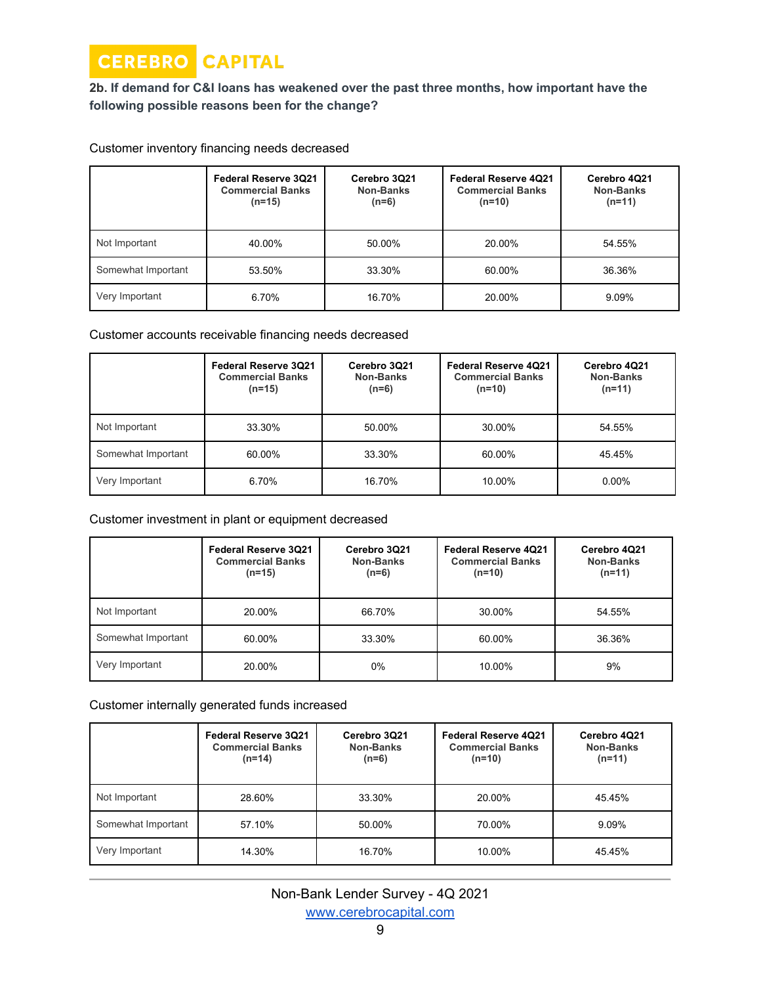**2b. If demand for C&I loans has weakened over the past three months, how important have the following possible reasons been for the change?**

Customer inventory financing needs decreased

|                    | <b>Federal Reserve 3Q21</b><br><b>Commercial Banks</b><br>$(n=15)$ | Cerebro 3Q21<br>Non-Banks<br>$(n=6)$ | <b>Federal Reserve 4Q21</b><br><b>Commercial Banks</b><br>$(n=10)$ | Cerebro 4Q21<br>Non-Banks<br>$(n=11)$ |
|--------------------|--------------------------------------------------------------------|--------------------------------------|--------------------------------------------------------------------|---------------------------------------|
| Not Important      | 40.00%                                                             | 50.00%                               | 20.00%                                                             | 54.55%                                |
| Somewhat Important | 53.50%                                                             | 33.30%                               | 60.00%                                                             | 36.36%                                |
| Very Important     | 6.70%                                                              | 16.70%                               | 20.00%                                                             | 9.09%                                 |

## Customer accounts receivable financing needs decreased

|                    | <b>Federal Reserve 3Q21</b><br><b>Commercial Banks</b><br>$(n=15)$ | Cerebro 3Q21<br>Non-Banks<br>$(n=6)$ | <b>Federal Reserve 4021</b><br><b>Commercial Banks</b><br>$(n=10)$ | Cerebro 4Q21<br>Non-Banks<br>$(n=11)$ |
|--------------------|--------------------------------------------------------------------|--------------------------------------|--------------------------------------------------------------------|---------------------------------------|
| Not Important      | 33.30%                                                             | 50.00%                               | 30.00%                                                             | 54.55%                                |
| Somewhat Important | 60.00%                                                             | 33.30%                               | 60.00%                                                             | 45.45%                                |
| Very Important     | 6.70%                                                              | 16.70%                               | 10.00%                                                             | $0.00\%$                              |

## Customer investment in plant or equipment decreased

|                    | <b>Federal Reserve 3Q21</b><br><b>Commercial Banks</b><br>$(n=15)$ | Cerebro 3Q21<br>Non-Banks<br>$(n=6)$ | <b>Federal Reserve 4Q21</b><br><b>Commercial Banks</b><br>$(n=10)$ | Cerebro 4Q21<br>Non-Banks<br>$(n=11)$ |
|--------------------|--------------------------------------------------------------------|--------------------------------------|--------------------------------------------------------------------|---------------------------------------|
| Not Important      | 20.00%                                                             | 66.70%                               | 30.00%                                                             | 54.55%                                |
| Somewhat Important | 60.00%                                                             | 33.30%                               | 60.00%                                                             | 36.36%                                |
| Very Important     | 20.00%                                                             | 0%                                   | 10.00%                                                             | 9%                                    |

# Customer internally generated funds increased

|                    | <b>Federal Reserve 3Q21</b><br><b>Commercial Banks</b><br>$(n=14)$ | Cerebro 3Q21<br>Non-Banks<br>$(n=6)$ | <b>Federal Reserve 4021</b><br><b>Commercial Banks</b><br>$(n=10)$ | Cerebro 4Q21<br>Non-Banks<br>$(n=11)$ |
|--------------------|--------------------------------------------------------------------|--------------------------------------|--------------------------------------------------------------------|---------------------------------------|
| Not Important      | 28.60%                                                             | 33.30%                               | 20.00%                                                             | 45.45%                                |
| Somewhat Important | 57.10%                                                             | 50.00%                               | 70.00%                                                             | 9.09%                                 |
| Very Important     | 14.30%                                                             | 16.70%                               | 10.00%                                                             | 45.45%                                |

Non-Bank Lender Survey - 4Q 2021 [www.cerebrocapital.com](http://www.cerebrocapital.com/)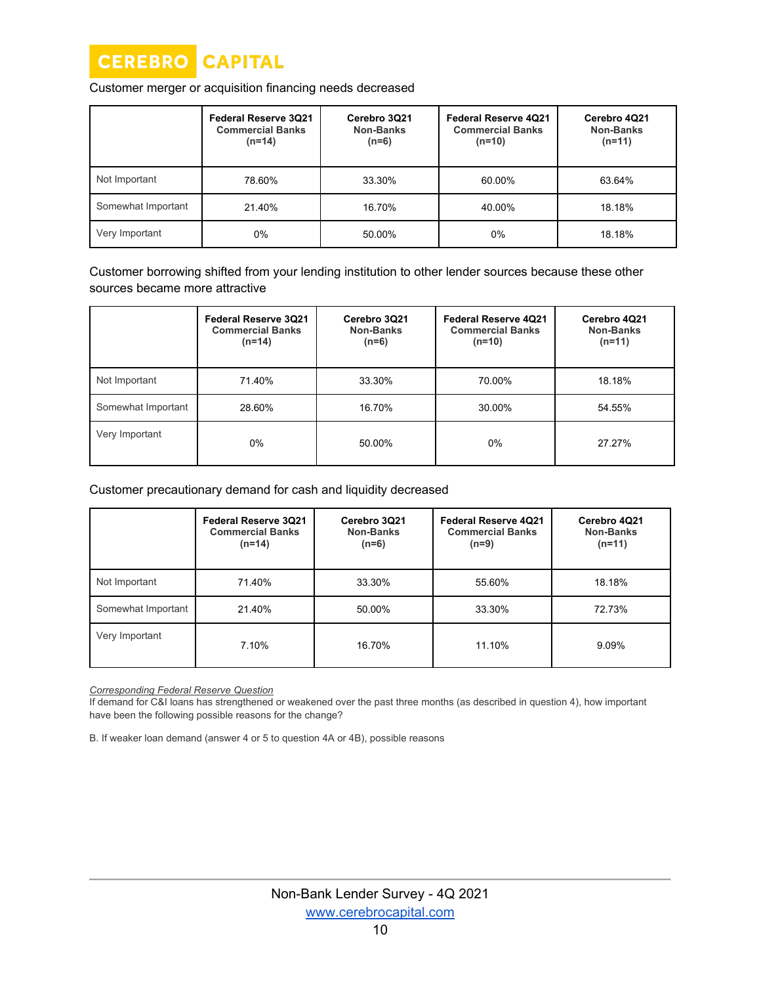

Customer merger or acquisition financing needs decreased

|                    | Federal Reserve 3Q21<br><b>Commercial Banks</b><br>$(n=14)$ | Cerebro 3Q21<br>Non-Banks<br>$(n=6)$ | <b>Federal Reserve 4Q21</b><br><b>Commercial Banks</b><br>$(n=10)$ | Cerebro 4Q21<br>Non-Banks<br>$(n=11)$ |
|--------------------|-------------------------------------------------------------|--------------------------------------|--------------------------------------------------------------------|---------------------------------------|
| Not Important      | 78.60%                                                      | 33.30%                               | 60.00%                                                             | 63.64%                                |
| Somewhat Important | 21.40%                                                      | 16.70%                               | 40.00%                                                             | 18.18%                                |
| Very Important     | 0%                                                          | 50.00%                               | $0\%$                                                              | 18.18%                                |

Customer borrowing shifted from your lending institution to other lender sources because these other sources became more attractive

|                    | <b>Federal Reserve 3Q21</b><br><b>Commercial Banks</b><br>$(n=14)$ | Cerebro 3Q21<br>Non-Banks<br>$(n=6)$ | <b>Federal Reserve 4Q21</b><br><b>Commercial Banks</b><br>$(n=10)$ | Cerebro 4Q21<br>Non-Banks<br>$(n=11)$ |
|--------------------|--------------------------------------------------------------------|--------------------------------------|--------------------------------------------------------------------|---------------------------------------|
| Not Important      | 71.40%                                                             | 33.30%                               | 70.00%                                                             | 18.18%                                |
| Somewhat Important | 28.60%                                                             | 16.70%                               | 30.00%                                                             | 54.55%                                |
| Very Important     | 0%                                                                 | 50.00%                               | 0%                                                                 | 27.27%                                |

Customer precautionary demand for cash and liquidity decreased

|                    | <b>Federal Reserve 3Q21</b><br><b>Commercial Banks</b><br>$(n=14)$ | Cerebro 3Q21<br>Non-Banks<br>$(n=6)$ | <b>Federal Reserve 4Q21</b><br><b>Commercial Banks</b><br>$(n=9)$ | Cerebro 4Q21<br>Non-Banks<br>$(n=11)$ |
|--------------------|--------------------------------------------------------------------|--------------------------------------|-------------------------------------------------------------------|---------------------------------------|
| Not Important      | 71.40%                                                             | 33.30%                               | 55.60%                                                            | 18.18%                                |
| Somewhat Important | 21.40%                                                             | 50.00%                               | 33.30%                                                            | 72.73%                                |
| Very Important     | 7.10%                                                              | 16.70%                               | 11.10%                                                            | 9.09%                                 |

*Corresponding Federal Reserve Question*

If demand for C&I loans has strengthened or weakened over the past three months (as described in question 4), how important have been the following possible reasons for the change?

B. If weaker loan demand (answer 4 or 5 to question 4A or 4B), possible reasons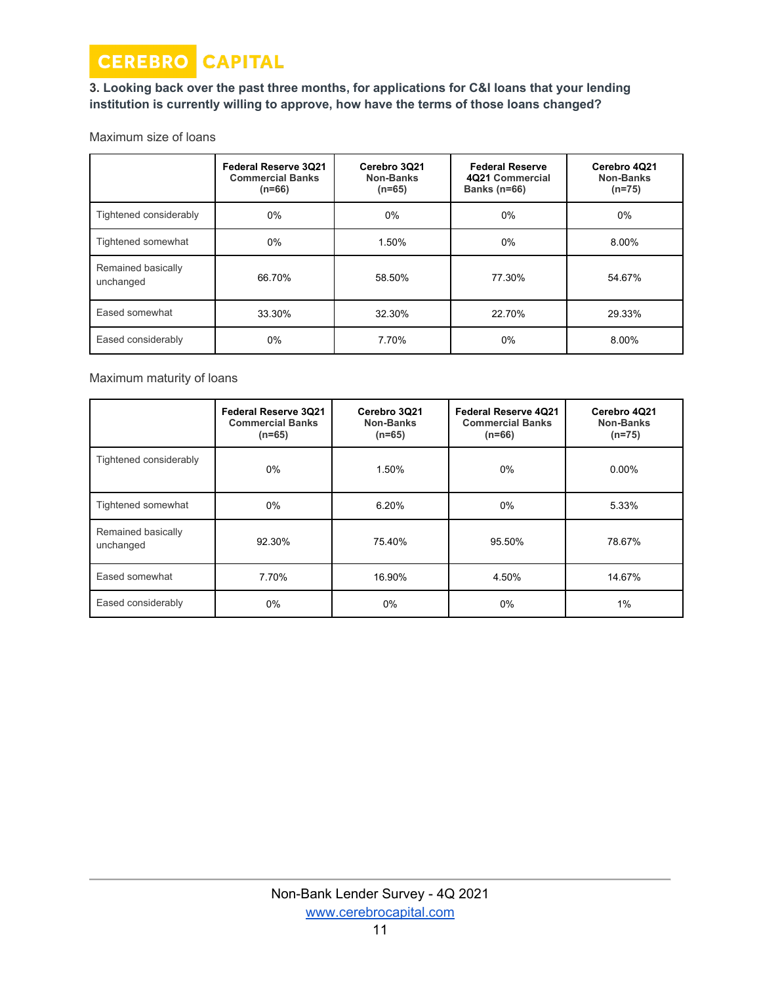**3. Looking back over the past three months, for applications for C&I loans that your lending institution is currently willing to approve, how have the terms of those loans changed?**

# Maximum size of loans

|                                 | Federal Reserve 3Q21<br><b>Commercial Banks</b><br>$(n=66)$ | Cerebro 3Q21<br>Non-Banks<br>$(n=65)$ | <b>Federal Reserve</b><br>4Q21 Commercial<br>Banks $(n=66)$ | Cerebro 4Q21<br>Non-Banks<br>$(n=75)$ |
|---------------------------------|-------------------------------------------------------------|---------------------------------------|-------------------------------------------------------------|---------------------------------------|
| Tightened considerably          | $0\%$                                                       | 0%                                    | 0%                                                          | $0\%$                                 |
| Tightened somewhat              | 0%                                                          | 1.50%                                 | 0%                                                          | 8.00%                                 |
| Remained basically<br>unchanged | 66.70%                                                      | 58.50%                                | 77.30%                                                      | 54.67%                                |
| Eased somewhat                  | 33.30%                                                      | 32.30%                                | 22.70%                                                      | 29.33%                                |
| Eased considerably              | 0%                                                          | 7.70%                                 | 0%                                                          | 8.00%                                 |

Maximum maturity of loans

|                                 | Federal Reserve 3021<br><b>Commercial Banks</b><br>$(n=65)$ | Cerebro 3Q21<br>Non-Banks<br>$(n=65)$ | Federal Reserve 4021<br><b>Commercial Banks</b><br>$(n=66)$ | Cerebro 4Q21<br>Non-Banks<br>$(n=75)$ |
|---------------------------------|-------------------------------------------------------------|---------------------------------------|-------------------------------------------------------------|---------------------------------------|
| Tightened considerably          | 0%                                                          | 1.50%                                 | 0%                                                          | $0.00\%$                              |
| Tightened somewhat              | 0%                                                          | 6.20%                                 | $0\%$                                                       | 5.33%                                 |
| Remained basically<br>unchanged | 92.30%                                                      | 75.40%                                | 95.50%                                                      | 78.67%                                |
| Eased somewhat                  | 7.70%                                                       | 16.90%                                | 4.50%                                                       | 14.67%                                |
| Eased considerably              | 0%                                                          | $0\%$                                 | $0\%$                                                       | $1\%$                                 |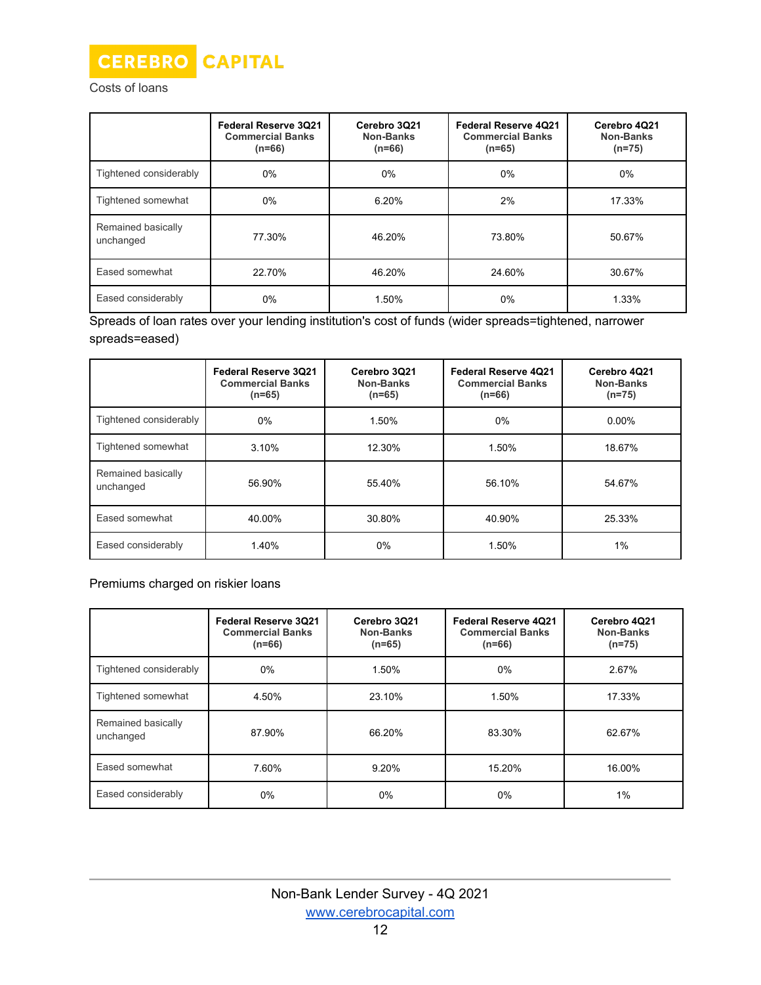

Costs of loans

|                                 | Federal Reserve 3021<br><b>Commercial Banks</b><br>$(n=66)$ | Cerebro 3Q21<br>Non-Banks<br>$(n=66)$ | Federal Reserve 4Q21<br><b>Commercial Banks</b><br>$(n=65)$ | Cerebro 4Q21<br>Non-Banks<br>$(n=75)$ |
|---------------------------------|-------------------------------------------------------------|---------------------------------------|-------------------------------------------------------------|---------------------------------------|
| Tightened considerably          | 0%                                                          | $0\%$                                 | $0\%$                                                       | $0\%$                                 |
| Tightened somewhat              | 0%                                                          | 6.20%                                 | 2%                                                          | 17.33%                                |
| Remained basically<br>unchanged | 77.30%                                                      | 46.20%                                | 73.80%                                                      | 50.67%                                |
| Eased somewhat                  | 22.70%                                                      | 46.20%                                | 24.60%                                                      | 30.67%                                |
| Eased considerably              | $0\%$                                                       | 1.50%                                 | 0%                                                          | 1.33%                                 |

Spreads of loan rates over your lending institution's cost of funds (wider spreads=tightened, narrower

# spreads=eased)

|                                 | Federal Reserve 3Q21<br><b>Commercial Banks</b><br>$(n=65)$ | Cerebro 3021<br>Non-Banks<br>$(n=65)$ | Federal Reserve 4021<br><b>Commercial Banks</b><br>$(n=66)$ | Cerebro 4Q21<br>Non-Banks<br>$(n=75)$ |
|---------------------------------|-------------------------------------------------------------|---------------------------------------|-------------------------------------------------------------|---------------------------------------|
| Tightened considerably          | 0%                                                          | 1.50%                                 | $0\%$                                                       | $0.00\%$                              |
| Tightened somewhat              | 3.10%                                                       | 12.30%                                | 1.50%                                                       | 18.67%                                |
| Remained basically<br>unchanged | 56.90%                                                      | 55.40%                                | 56.10%                                                      | 54.67%                                |
| Eased somewhat                  | 40.00%                                                      | 30.80%                                | 40.90%                                                      | 25.33%                                |
| Eased considerably              | 1.40%                                                       | 0%                                    | 1.50%                                                       | $1\%$                                 |

Premiums charged on riskier loans

|                                 | Federal Reserve 3021<br><b>Commercial Banks</b><br>$(n=66)$ | Cerebro 3Q21<br>Non-Banks<br>$(n=65)$ | Federal Reserve 4021<br><b>Commercial Banks</b><br>$(n=66)$ | Cerebro 4Q21<br>Non-Banks<br>$(n=75)$ |
|---------------------------------|-------------------------------------------------------------|---------------------------------------|-------------------------------------------------------------|---------------------------------------|
| Tightened considerably          | $0\%$                                                       | 1.50%                                 | 0%                                                          | 2.67%                                 |
| Tightened somewhat              | 4.50%                                                       | 23.10%                                | 1.50%                                                       | 17.33%                                |
| Remained basically<br>unchanged | 87.90%                                                      | 66.20%                                | 83.30%                                                      | 62.67%                                |
| Eased somewhat                  | 7.60%                                                       | 9.20%                                 | 15.20%                                                      | 16.00%                                |
| Eased considerably              | $0\%$                                                       | 0%                                    | 0%                                                          | 1%                                    |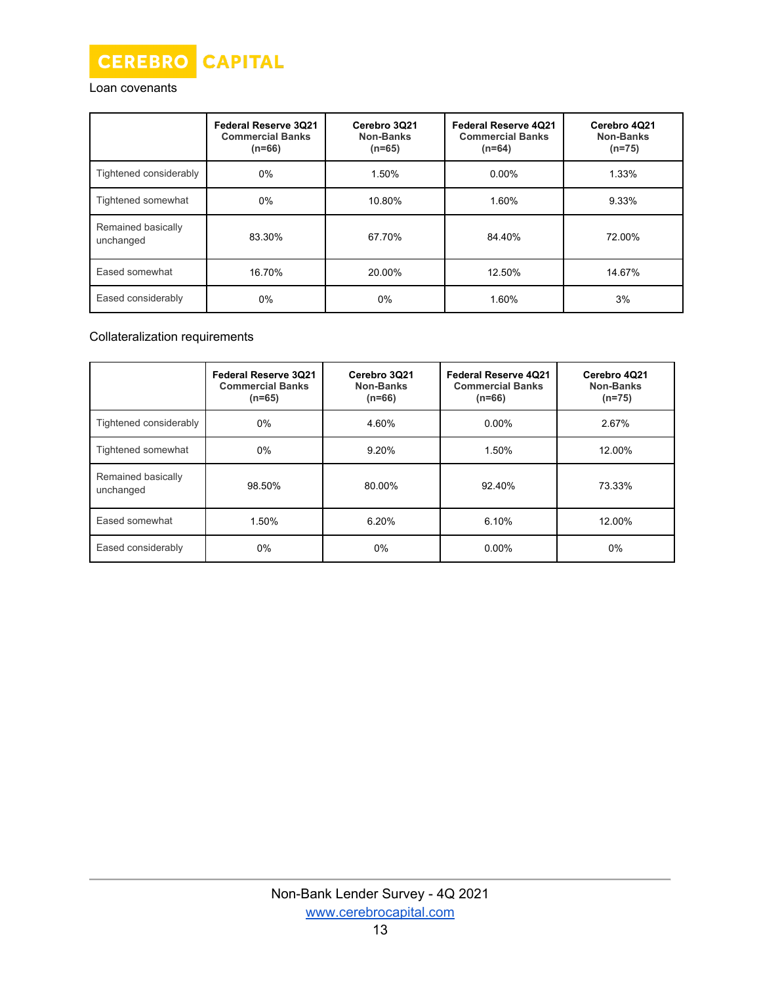

#### Loan covenants

|                                 | Federal Reserve 3Q21<br><b>Commercial Banks</b><br>$(n=66)$ | Cerebro 3Q21<br>Non-Banks<br>$(n=65)$ | Federal Reserve 4021<br><b>Commercial Banks</b><br>$(n=64)$ | Cerebro 4Q21<br>Non-Banks<br>$(n=75)$ |
|---------------------------------|-------------------------------------------------------------|---------------------------------------|-------------------------------------------------------------|---------------------------------------|
| Tightened considerably          | 0%                                                          | 1.50%                                 | $0.00\%$                                                    | 1.33%                                 |
| Tightened somewhat              | 0%                                                          | 10.80%                                | 1.60%                                                       | 9.33%                                 |
| Remained basically<br>unchanged | 83.30%                                                      | 67.70%                                | 84.40%                                                      | 72.00%                                |
| Eased somewhat                  | 16.70%                                                      | 20.00%                                | 12.50%                                                      | 14.67%                                |
| Eased considerably              | $0\%$                                                       | 0%                                    | 1.60%                                                       | 3%                                    |

# Collateralization requirements

|                                 | Federal Reserve 3021<br><b>Commercial Banks</b><br>$(n=65)$ | Cerebro 3Q21<br>Non-Banks<br>$(n=66)$ | <b>Federal Reserve 4Q21</b><br><b>Commercial Banks</b><br>$(n=66)$ | Cerebro 4Q21<br>Non-Banks<br>$(n=75)$ |
|---------------------------------|-------------------------------------------------------------|---------------------------------------|--------------------------------------------------------------------|---------------------------------------|
| Tightened considerably          | 0%                                                          | 4.60%                                 | $0.00\%$                                                           | 2.67%                                 |
| Tightened somewhat              | 0%                                                          | 9.20%                                 | 1.50%                                                              | 12.00%                                |
| Remained basically<br>unchanged | 98.50%                                                      | 80.00%                                | 92.40%                                                             | 73.33%                                |
| Eased somewhat                  | 1.50%                                                       | 6.20%                                 | 6.10%                                                              | 12.00%                                |
| Eased considerably              | 0%                                                          | 0%                                    | $0.00\%$                                                           | 0%                                    |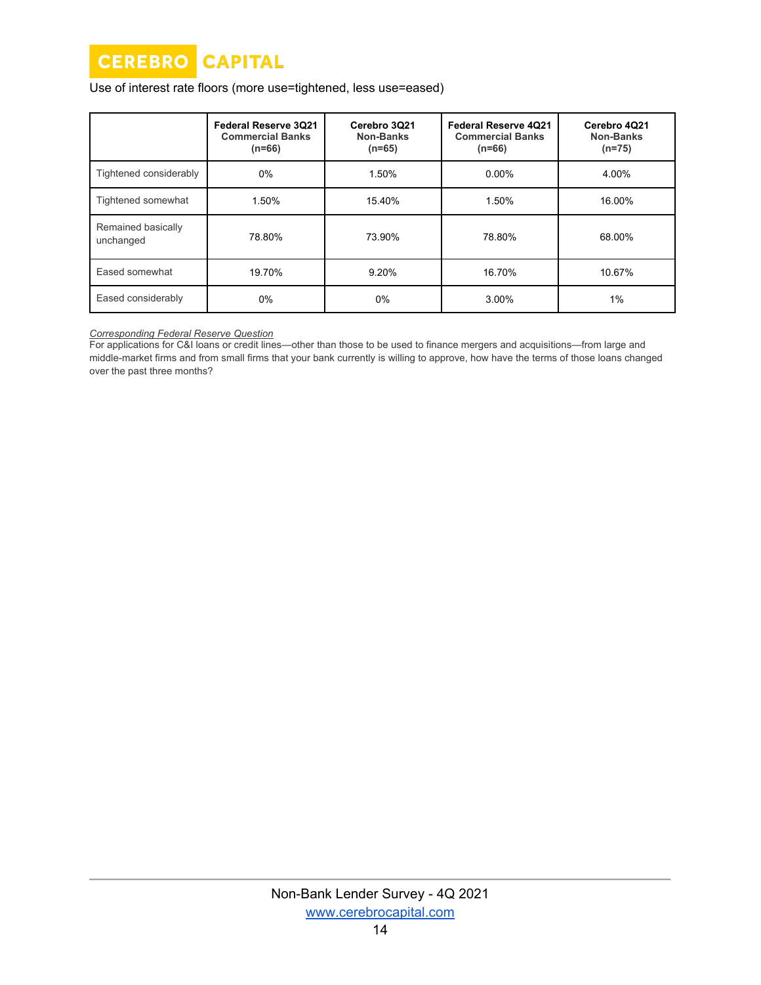

## Use of interest rate floors (more use=tightened, less use=eased)

|                                 | Federal Reserve 3021<br><b>Commercial Banks</b><br>$(n=66)$ | Cerebro 3Q21<br>Non-Banks<br>$(n=65)$ | <b>Federal Reserve 4021</b><br><b>Commercial Banks</b><br>$(n=66)$ | Cerebro 4Q21<br>Non-Banks<br>$(n=75)$ |
|---------------------------------|-------------------------------------------------------------|---------------------------------------|--------------------------------------------------------------------|---------------------------------------|
| Tightened considerably          | $0\%$                                                       | 1.50%                                 | $0.00\%$                                                           | 4.00%                                 |
| Tightened somewhat              | 1.50%                                                       | 15.40%                                | 1.50%                                                              | 16.00%                                |
| Remained basically<br>unchanged | 78.80%                                                      | 73.90%                                | 78.80%                                                             | 68.00%                                |
| Eased somewhat                  | 19.70%                                                      | 9.20%                                 | 16.70%                                                             | 10.67%                                |
| Eased considerably              | $0\%$                                                       | 0%                                    | 3.00%                                                              | 1%                                    |

*Corresponding Federal Reserve Question*

For applications for C&I loans or credit lines—other than those to be used to finance mergers and acquisitions—from large and middle-market firms and from small firms that your bank currently is willing to approve, how have the terms of those loans changed over the past three months?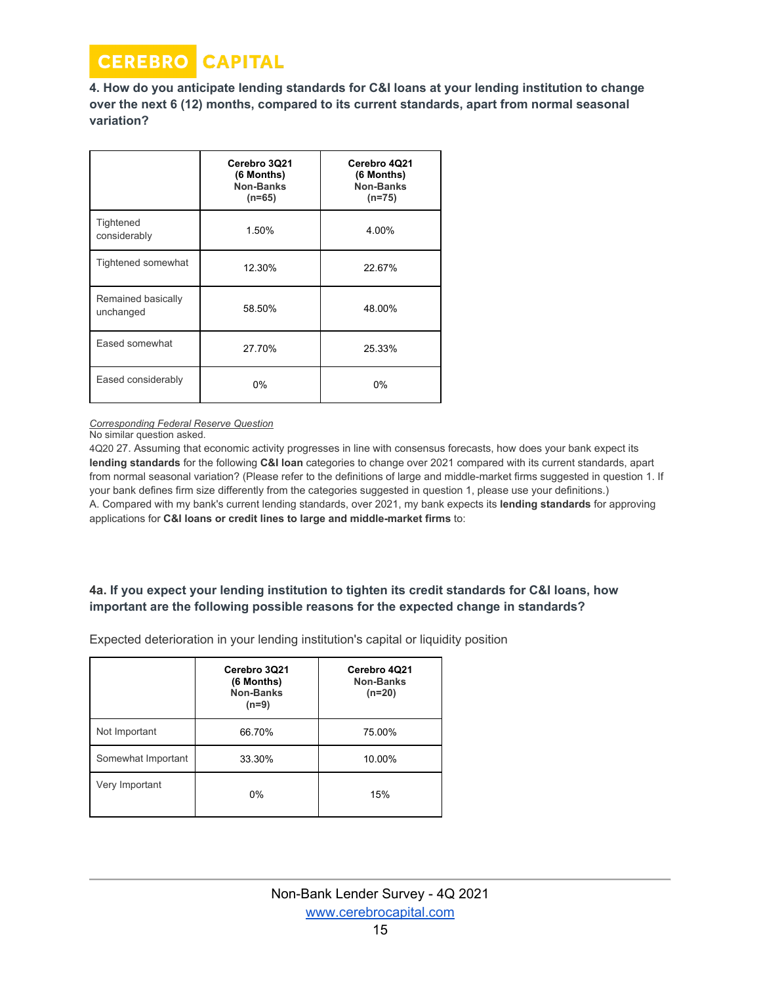**CEREBRO CAPITAL** 

**4. How do you anticipate lending standards for C&I loans at your lending institution to change over the next 6 (12) months, compared to its current standards, apart from normal seasonal variation?**

|                                 | Cerebro 3Q21<br>(6 Months)<br>Non-Banks<br>$(n=65)$ | Cerebro 4Q21<br>(6 Months)<br>Non-Banks<br>$(n=75)$ |
|---------------------------------|-----------------------------------------------------|-----------------------------------------------------|
| Tightened<br>considerably       | 1.50%                                               | 4.00%                                               |
| Tightened somewhat              | 12.30%                                              | 22.67%                                              |
| Remained basically<br>unchanged | 58.50%                                              | 48.00%                                              |
| Eased somewhat                  | 27.70%                                              | 25.33%                                              |
| Eased considerably              | $0\%$                                               | 0%                                                  |

*Corresponding Federal Reserve Question*

No similar question asked.

4Q20 27. Assuming that economic activity progresses in line with consensus forecasts, how does your bank expect its **lending standards** for the following **C&I loan** categories to change over 2021 compared with its current standards, apart from normal seasonal variation? (Please refer to the definitions of large and middle-market firms suggested in question 1. If your bank defines firm size differently from the categories suggested in question 1, please use your definitions.) A. Compared with my bank's current lending standards, over 2021, my bank expects its **lending standards** for approving applications for **C&I loans or credit lines to large and middle-market firms** to:

# **4a. If you expect your lending institution to tighten its credit standards for C&I loans, how important are the following possible reasons for the expected change in standards?**

Expected deterioration in your lending institution's capital or liquidity position

|                    | Cerebro 3Q21<br>(6 Months)<br>Non-Banks<br>$(n=9)$ | Cerebro 4Q21<br>Non-Banks<br>$(n=20)$ |
|--------------------|----------------------------------------------------|---------------------------------------|
| Not Important      | 66.70%                                             | 75.00%                                |
| Somewhat Important | 33.30%                                             | 10.00%                                |
| Very Important     | $0\%$                                              | 15%                                   |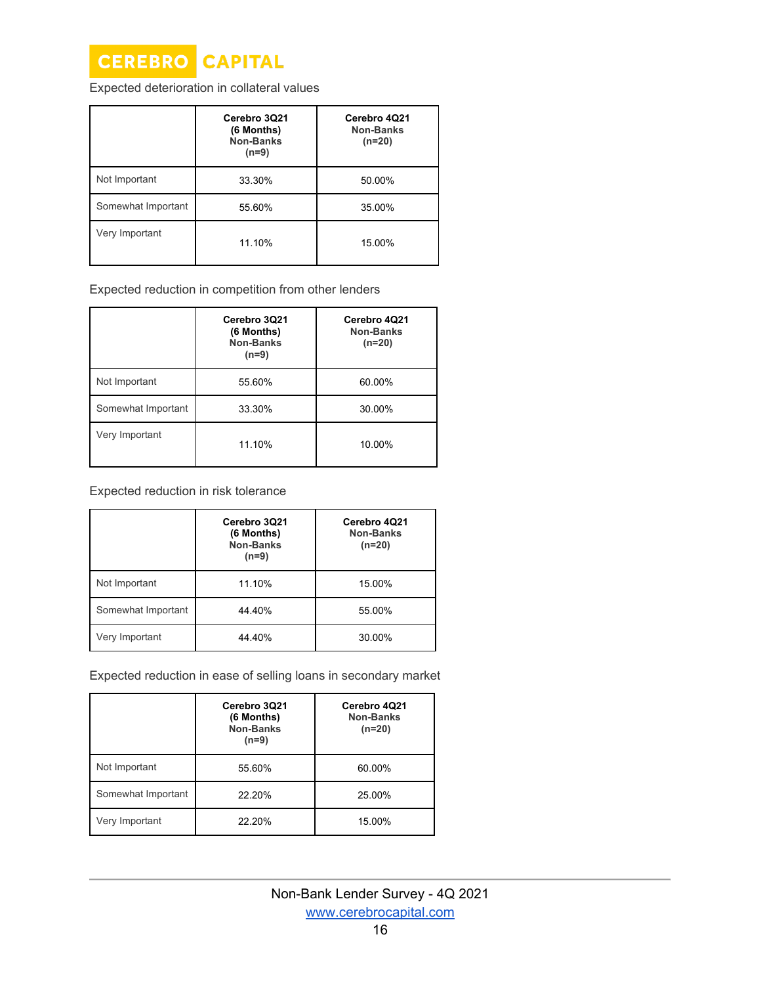

Expected deterioration in collateral values

|                    | Cerebro 3Q21<br>(6 Months)<br>Non-Banks<br>$(n=9)$ | Cerebro 4Q21<br>Non-Banks<br>$(n=20)$ |
|--------------------|----------------------------------------------------|---------------------------------------|
| Not Important      | 33.30%                                             | 50.00%                                |
| Somewhat Important | 55.60%                                             | 35.00%                                |
| Very Important     | 11.10%                                             | 15.00%                                |

Expected reduction in competition from other lenders

|                    | Cerebro 3Q21<br>(6 Months)<br>Non-Banks<br>$(n=9)$ | Cerebro 4Q21<br>Non-Banks<br>$(n=20)$ |
|--------------------|----------------------------------------------------|---------------------------------------|
| Not Important      | 55.60%                                             | 60.00%                                |
| Somewhat Important | 33.30%                                             | 30.00%                                |
| Very Important     | 11.10%                                             | 10.00%                                |

Expected reduction in risk tolerance

|                    | Cerebro 3Q21<br>(6 Months)<br>Non-Banks<br>$(n=9)$ | Cerebro 4Q21<br>Non-Banks<br>$(n=20)$ |
|--------------------|----------------------------------------------------|---------------------------------------|
| Not Important      | 11.10%                                             | 15.00%                                |
| Somewhat Important | 44.40%                                             | 55.00%                                |
| Very Important     | 44.40%                                             | 30.00%                                |

Expected reduction in ease of selling loans in secondary market

|                    | Cerebro 3Q21<br>(6 Months)<br>Non-Banks<br>$(n=9)$ | Cerebro 4Q21<br>Non-Banks<br>$(n=20)$ |
|--------------------|----------------------------------------------------|---------------------------------------|
| Not Important      | 55.60%                                             | 60.00%                                |
| Somewhat Important | 22.20%                                             | 25.00%                                |
| Very Important     | 22.20%                                             | 15.00%                                |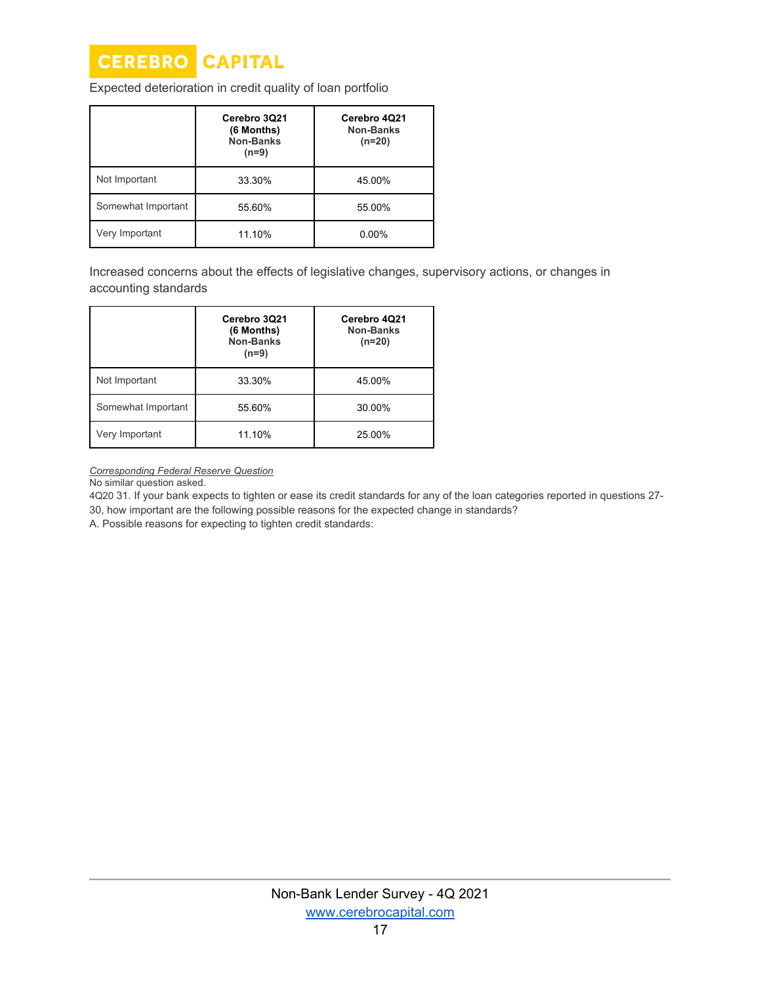

Expected deterioration in credit quality of loan portfolio

|                    | Cerebro 3Q21<br>(6 Months)<br>Non-Banks<br>$(n=9)$ | Cerebro 4Q21<br>Non-Banks<br>$(n=20)$ |
|--------------------|----------------------------------------------------|---------------------------------------|
| Not Important      | 33.30%                                             | 45.00%                                |
| Somewhat Important | 55.60%                                             | 55.00%                                |
| Very Important     | 11.10%                                             | $0.00\%$                              |

Increased concerns about the effects of legislative changes, supervisory actions, or changes in accounting standards

|                    | Cerebro 3Q21<br>(6 Months)<br><b>Non-Banks</b><br>$(n=9)$ | Cerebro 4Q21<br><b>Non-Banks</b><br>$(n=20)$ |
|--------------------|-----------------------------------------------------------|----------------------------------------------|
| Not Important      | 33.30%                                                    | 45.00%                                       |
| Somewhat Important | 55.60%                                                    | 30.00%                                       |
| Very Important     | 11.10%                                                    | 25.00%                                       |

*Corresponding Federal Reserve Question*

No similar question asked.

4Q20 31. If your bank expects to tighten or ease its credit standards for any of the loan categories reported in questions 27- 30, how important are the following possible reasons for the expected change in standards?

A. Possible reasons for expecting to tighten credit standards: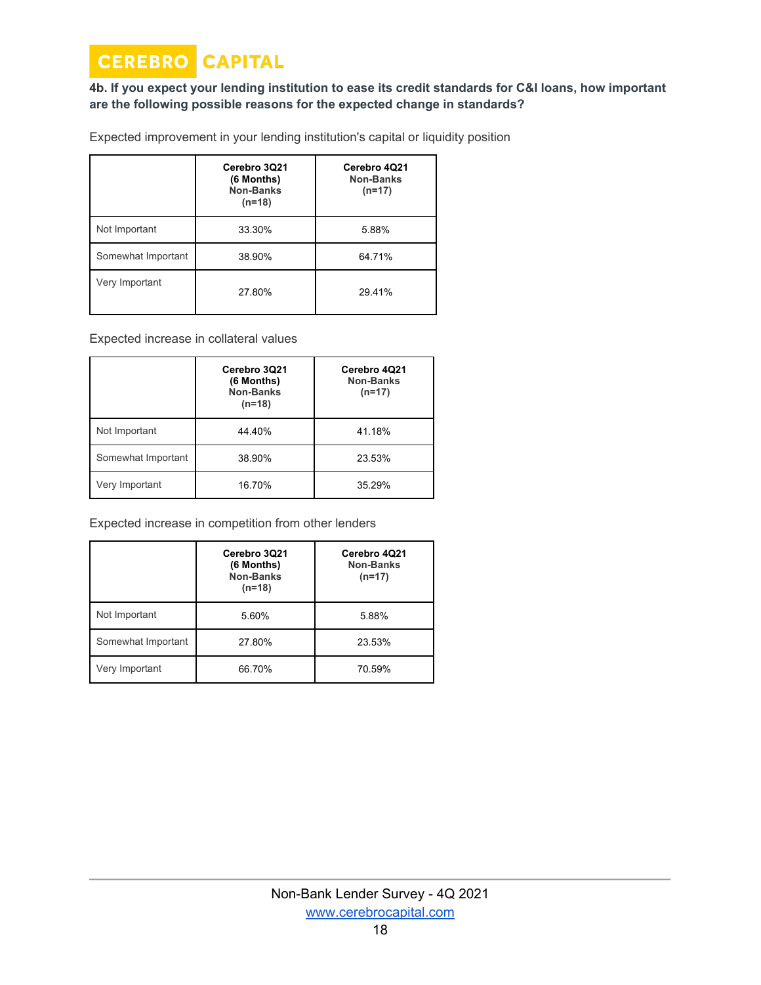# **4b. If you expect your lending institution to ease its credit standards for C&I loans, how important are the following possible reasons for the expected change in standards?**

Expected improvement in your lending institution's capital or liquidity position

|                    | Cerebro 3Q21<br>(6 Months)<br>Non-Banks<br>$(n=18)$ | Cerebro 4Q21<br>Non-Banks<br>$(n=17)$ |
|--------------------|-----------------------------------------------------|---------------------------------------|
| Not Important      | 33.30%                                              | 5.88%                                 |
| Somewhat Important | 38.90%                                              | 64.71%                                |
| Very Important     | 27.80%                                              | 29.41%                                |

Expected increase in collateral values

|                    | Cerebro 3Q21<br>(6 Months)<br>Non-Banks<br>$(n=18)$ | Cerebro 4Q21<br>Non-Banks<br>$(n=17)$ |
|--------------------|-----------------------------------------------------|---------------------------------------|
| Not Important      | 44.40%                                              | 41.18%                                |
| Somewhat Important | 38.90%                                              | 23.53%                                |
| Very Important     | 16.70%                                              | 35.29%                                |

Expected increase in competition from other lenders

|                    | Cerebro 3Q21<br>(6 Months)<br><b>Non-Banks</b><br>$(n=18)$ | Cerebro 4Q21<br><b>Non-Banks</b><br>$(n=17)$ |
|--------------------|------------------------------------------------------------|----------------------------------------------|
| Not Important      | 5.60%                                                      | 5.88%                                        |
| Somewhat Important | 27.80%                                                     | 23.53%                                       |
| Very Important     | 66.70%                                                     | 70.59%                                       |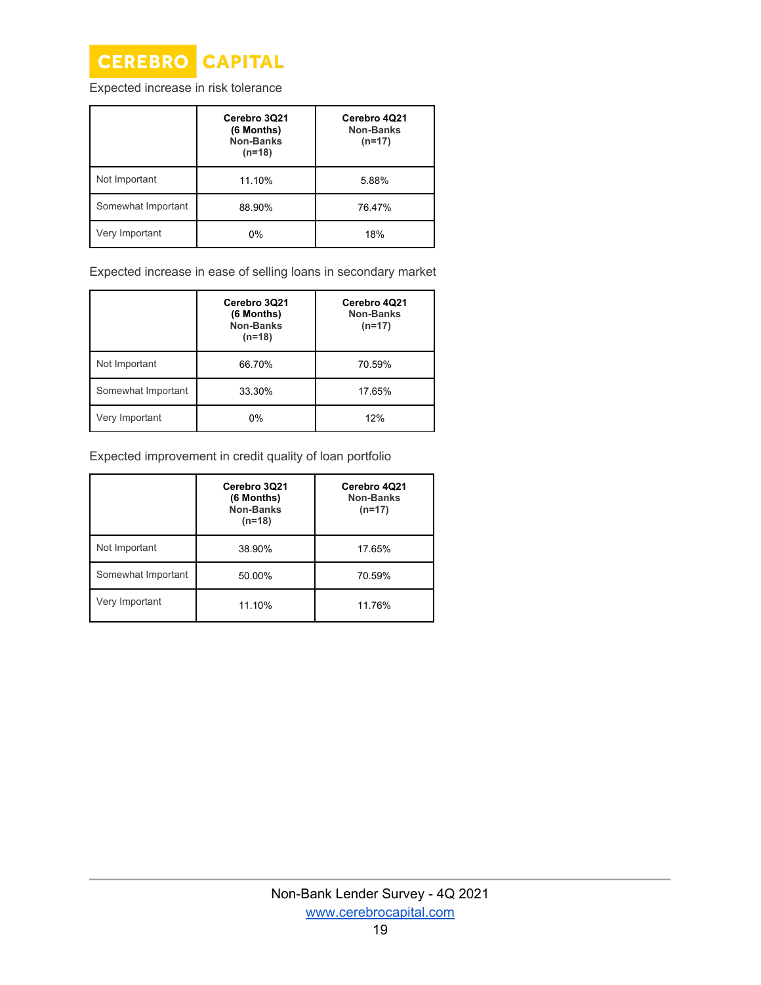

Expected increase in risk tolerance

|                    | Cerebro 3Q21<br>(6 Months)<br>Non-Banks<br>$(n=18)$ | Cerebro 4Q21<br>Non-Banks<br>$(n=17)$ |
|--------------------|-----------------------------------------------------|---------------------------------------|
| Not Important      | 11.10%                                              | 5.88%                                 |
| Somewhat Important | 88.90%                                              | 76.47%                                |
| Very Important     | 0%                                                  | 18%                                   |

Expected increase in ease of selling loans in secondary market

|                    | Cerebro 3Q21<br>(6 Months)<br>Non-Banks<br>$(n=18)$ | Cerebro 4Q21<br>Non-Banks<br>$(n=17)$ |
|--------------------|-----------------------------------------------------|---------------------------------------|
| Not Important      | 66.70%                                              | 70.59%                                |
| Somewhat Important | 33.30%                                              | 17.65%                                |
| Very Important     | $0\%$                                               | 12%                                   |

Expected improvement in credit quality of loan portfolio

|                    | Cerebro 3Q21<br>(6 Months)<br><b>Non-Banks</b><br>$(n=18)$ | Cerebro 4Q21<br><b>Non-Banks</b><br>$(n=17)$ |
|--------------------|------------------------------------------------------------|----------------------------------------------|
| Not Important      | 38.90%                                                     | 17.65%                                       |
| Somewhat Important | 50.00%                                                     | 70.59%                                       |
| Very Important     | 11.10%                                                     | 11.76%                                       |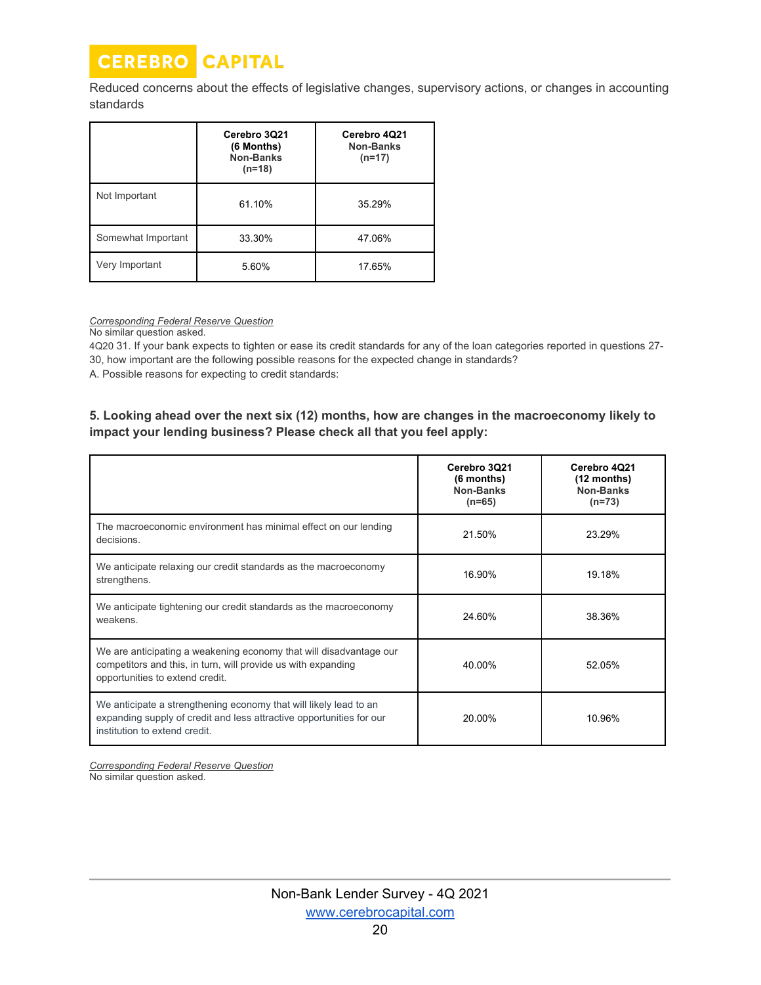

Reduced concerns about the effects of legislative changes, supervisory actions, or changes in accounting standards

|                    | Cerebro 3Q21<br>(6 Months)<br><b>Non-Banks</b><br>$(n=18)$ | Cerebro 4Q21<br>Non-Banks<br>$(n=17)$ |
|--------------------|------------------------------------------------------------|---------------------------------------|
| Not Important      | 61.10%                                                     | 35.29%                                |
| Somewhat Important | 33.30%                                                     | 47.06%                                |
| Very Important     | 5.60%                                                      | 17.65%                                |

#### *Corresponding Federal Reserve Question*

No similar question asked.

4Q20 31. If your bank expects to tighten or ease its credit standards for any of the loan categories reported in questions 27- 30, how important are the following possible reasons for the expected change in standards?

A. Possible reasons for expecting to credit standards:

# **5. Looking ahead over the next six (12) months, how are changes in the macroeconomy likely to impact your lending business? Please check all that you feel apply:**

|                                                                                                                                                                            | Cerebro 3Q21<br>(6 months)<br>Non-Banks<br>$(n=65)$ | Cerebro 4021<br>$(12$ months)<br>Non-Banks<br>$(n=73)$ |
|----------------------------------------------------------------------------------------------------------------------------------------------------------------------------|-----------------------------------------------------|--------------------------------------------------------|
| The macroeconomic environment has minimal effect on our lending<br>decisions.                                                                                              | 21.50%                                              | 23.29%                                                 |
| We anticipate relaxing our credit standards as the macroeconomy<br>strengthens.                                                                                            | 16.90%                                              | 19.18%                                                 |
| We anticipate tightening our credit standards as the macroeconomy<br>weakens.                                                                                              | 24.60%                                              | 38.36%                                                 |
| We are anticipating a weakening economy that will disadvantage our<br>competitors and this, in turn, will provide us with expanding<br>opportunities to extend credit.     | 40.00%                                              | 52.05%                                                 |
| We anticipate a strengthening economy that will likely lead to an<br>expanding supply of credit and less attractive opportunities for our<br>institution to extend credit. | 20.00%                                              | 10.96%                                                 |

*Corresponding Federal Reserve Question* No similar question asked.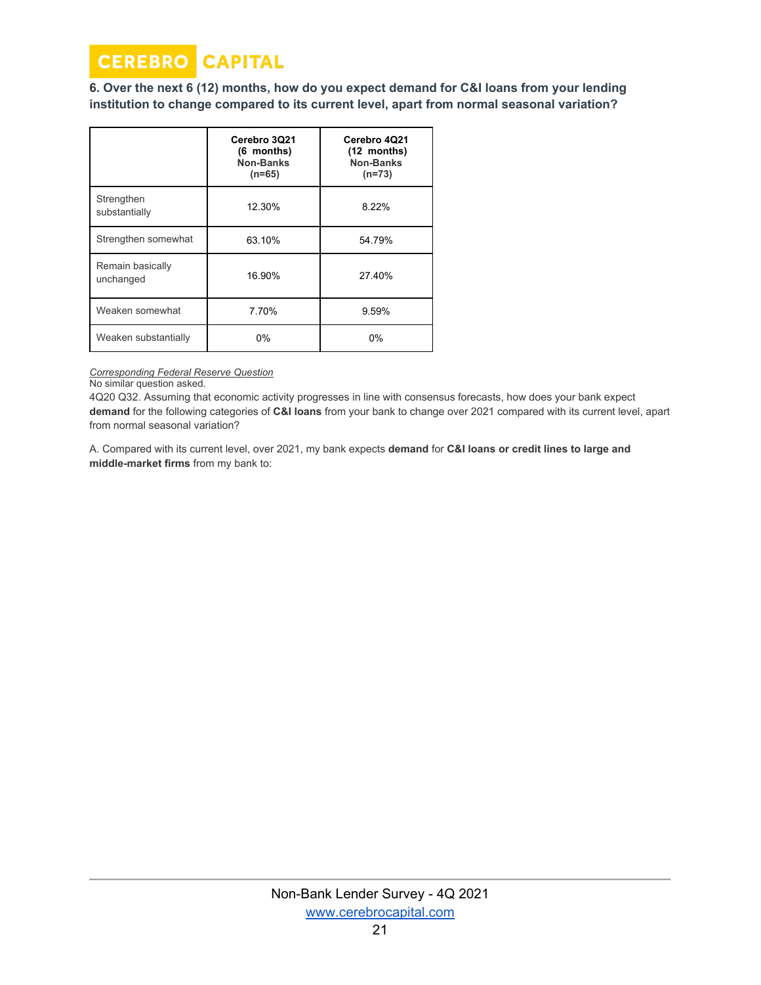**6. Over the next 6 (12) months, how do you expect demand for C&I loans from your lending institution to change compared to its current level, apart from normal seasonal variation?**

|                               | Cerebro 3021<br>$(6$ months)<br>Non-Banks<br>$(n=65)$ | Cerebro 4Q21<br>(12 months)<br>Non-Banks<br>$(n=73)$ |
|-------------------------------|-------------------------------------------------------|------------------------------------------------------|
| Strengthen<br>substantially   | 12.30%                                                | 8.22%                                                |
| Strengthen somewhat           | 63.10%                                                | 54.79%                                               |
| Remain basically<br>unchanged | 16.90%                                                | 27.40%                                               |
| Weaken somewhat               | 7.70%                                                 | 9.59%                                                |
| Weaken substantially          | $0\%$                                                 | $0\%$                                                |

*Corresponding Federal Reserve Question*

No similar question asked.

4Q20 Q32. Assuming that economic activity progresses in line with consensus forecasts, how does your bank expect **demand** for the following categories of **C&I loans** from your bank to change over 2021 compared with its current level, apart from normal seasonal variation?

A. Compared with its current level, over 2021, my bank expects **demand** for **C&I loans or credit lines to large and middle-market firms** from my bank to: